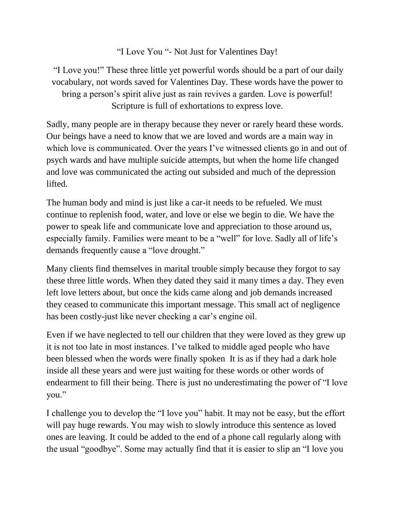"I Love You "- Not Just for Valentines Day!

"I Love you!" These three little yet powerful words should be a part of our daily vocabulary, not words saved for Valentines Day. These words have the power to bring a person's spirit alive just as rain revives a garden. Love is powerful! Scripture is full of exhortations to express love.

Sadly, many people are in therapy because they never or rarely heard these words. Our beings have a need to know that we are loved and words are a main way in which love is communicated. Over the years I've witnessed clients go in and out of psych wards and have multiple suicide attempts, but when the home life changed and love was communicated the acting out subsided and much of the depression lifted.

The human body and mind is just like a car-it needs to be refueled. We must continue to replenish food, water, and love or else we begin to die. We have the power to speak life and communicate love and appreciation to those around us, especially family. Families were meant to be a "well" for love. Sadly all of life's demands frequently cause a "love drought."

Many clients find themselves in marital trouble simply because they forgot to say these three little words. When they dated they said it many times a day. They even left love letters about, but once the kids came along and job demands increased they ceased to communicate this important message. This small act of negligence has been costly-just like never checking a car's engine oil.

Even if we have neglected to tell our children that they were loved as they grew up it is not too late in most instances. I've talked to middle aged people who have been blessed when the words were finally spoken It is as if they had a dark hole inside all these years and were just waiting for these words or other words of endearment to fill their being. There is just no underestimating the power of "I love you."

I challenge you to develop the "I love you" habit. It may not be easy, but the effort will pay huge rewards. You may wish to slowly introduce this sentence as loved ones are leaving. It could be added to the end of a phone call regularly along with the usual "goodbye". Some may actually find that it is easier to slip an "I love you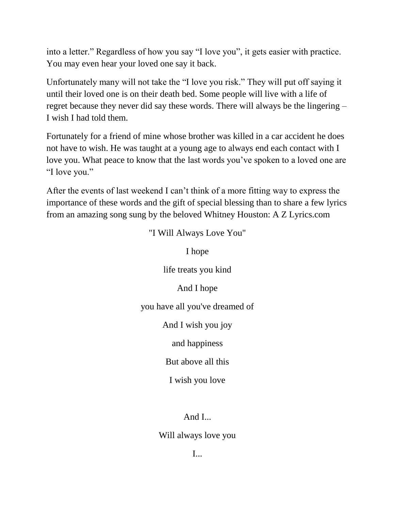into a letter." Regardless of how you say "I love you", it gets easier with practice. You may even hear your loved one say it back.

Unfortunately many will not take the "I love you risk." They will put off saying it until their loved one is on their death bed. Some people will live with a life of regret because they never did say these words. There will always be the lingering – I wish I had told them.

Fortunately for a friend of mine whose brother was killed in a car accident he does not have to wish. He was taught at a young age to always end each contact with I love you. What peace to know that the last words you've spoken to a loved one are "I love you."

After the events of last weekend I can't think of a more fitting way to express the importance of these words and the gift of special blessing than to share a few lyrics from an amazing song sung by the beloved Whitney Houston: A Z Lyrics.com

"I Will Always Love You"

I hope

life treats you kind

And I hope

you have all you've dreamed of

And I wish you joy

and happiness

But above all this

I wish you love

And  $I_{\cdots}$ 

Will always love you

I...